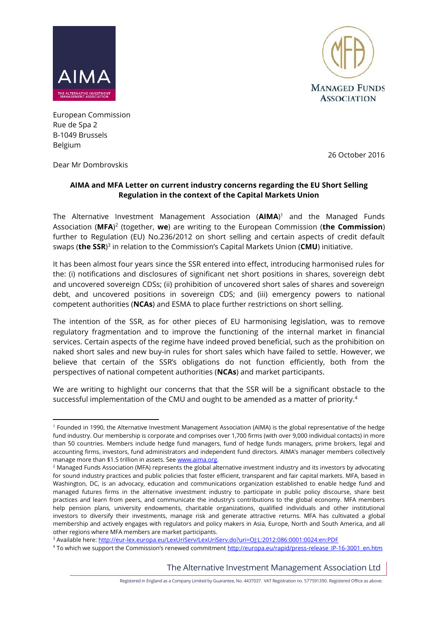



European Commission Rue de Spa 2 B-1049 Brussels Belgium

26 October 2016

### Dear Mr Dombrovskis

# **AIMA and MFA Letter on current industry concerns regarding the EU Short Selling Regulation in the context of the Capital Markets Union**

The Alternative Investment Management Association (**AIMA**) <sup>1</sup> and the Managed Funds Association (**MFA**) 2 (together, **we**) are writing to the European Commission (**the Commission**) further to Regulation (EU) No.236/2012 on short selling and certain aspects of credit default swaps (**the SSR**) 3 in relation to the Commission's Capital Markets Union (**CMU**) initiative.

It has been almost four years since the SSR entered into effect, introducing harmonised rules for the: (i) notifications and disclosures of significant net short positions in shares, sovereign debt and uncovered sovereign CDSs; (ii) prohibition of uncovered short sales of shares and sovereign debt, and uncovered positions in sovereign CDS; and (iii) emergency powers to national competent authorities (**NCAs**) and ESMA to place further restrictions on short selling.

The intention of the SSR, as for other pieces of EU harmonising legislation, was to remove regulatory fragmentation and to improve the functioning of the internal market in financial services. Certain aspects of the regime have indeed proved beneficial, such as the prohibition on naked short sales and new buy-in rules for short sales which have failed to settle. However, we believe that certain of the SSR's obligations do not function efficiently, both from the perspectives of national competent authorities (**NCAs**) and market participants.

We are writing to highlight our concerns that that the SSR will be a significant obstacle to the successful implementation of the CMU and ought to be amended as a matter of priority. 4

<sup>3</sup> Available here:<http://eur-lex.europa.eu/LexUriServ/LexUriServ.do?uri=OJ:L:2012:086:0001:0024:en:PDF>

The Alternative Investment Management Association Ltd

**<sup>.</sup>** <sup>1</sup> Founded in 1990, the Alternative Investment Management Association (AIMA) is the global representative of the hedge fund industry. Our membership is corporate and comprises over 1,700 firms (with over 9,000 individual contacts) in more than 50 countries. Members include hedge fund managers, fund of hedge funds managers, prime brokers, legal and accounting firms, investors, fund administrators and independent fund directors. AIMA's manager members collectively manage more than \$1.5 trillion in assets. Se[e www.aima.org.](http://www.aima.org/)

<sup>&</sup>lt;sup>2</sup> Managed Funds Association (MFA) represents the global alternative investment industry and its investors by advocating for sound industry practices and public policies that foster efficient, transparent and fair capital markets. MFA, based in Washington, DC, is an advocacy, education and communications organization established to enable hedge fund and managed futures firms in the alternative investment industry to participate in public policy discourse, share best practices and learn from peers, and communicate the industry's contributions to the global economy. MFA members help pension plans, university endowments, charitable organizations, qualified individuals and other institutional investors to diversify their investments, manage risk and generate attractive returns. MFA has cultivated a global membership and actively engages with regulators and policy makers in Asia, Europe, North and South America, and all other regions where MFA members are market participants.

<sup>4</sup> To which we support the Commission's renewed commitmen[t http://europa.eu/rapid/press-release\\_IP-16-3001\\_en.htm](http://europa.eu/rapid/press-release_IP-16-3001_en.htm)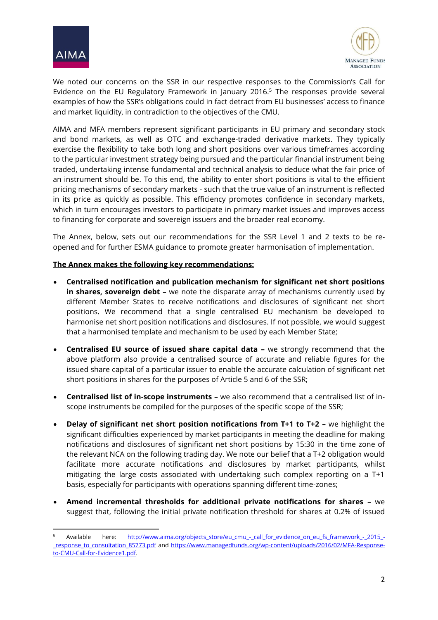

 $\overline{a}$ 



We noted our concerns on the SSR in our respective responses to the Commission's Call for Evidence on the EU Regulatory Framework in January 2016. <sup>5</sup> The responses provide several examples of how the SSR's obligations could in fact detract from EU businesses' access to finance and market liquidity, in contradiction to the objectives of the CMU.

AIMA and MFA members represent significant participants in EU primary and secondary stock and bond markets, as well as OTC and exchange-traded derivative markets. They typically exercise the flexibility to take both long and short positions over various timeframes according to the particular investment strategy being pursued and the particular financial instrument being traded, undertaking intense fundamental and technical analysis to deduce what the fair price of an instrument should be. To this end, the ability to enter short positions is vital to the efficient pricing mechanisms of secondary markets - such that the true value of an instrument is reflected in its price as quickly as possible. This efficiency promotes confidence in secondary markets, which in turn encourages investors to participate in primary market issues and improves access to financing for corporate and sovereign issuers and the broader real economy.

The Annex, below, sets out our recommendations for the SSR Level 1 and 2 texts to be reopened and for further ESMA guidance to promote greater harmonisation of implementation.

### **The Annex makes the following key recommendations:**

- **Centralised notification and publication mechanism for significant net short positions in shares, sovereign debt -** we note the disparate array of mechanisms currently used by different Member States to receive notifications and disclosures of significant net short positions. We recommend that a single centralised EU mechanism be developed to harmonise net short position notifications and disclosures. If not possible, we would suggest that a harmonised template and mechanism to be used by each Member State;
- **Centralised EU source of issued share capital data –** we strongly recommend that the above platform also provide a centralised source of accurate and reliable figures for the issued share capital of a particular issuer to enable the accurate calculation of significant net short positions in shares for the purposes of Article 5 and 6 of the SSR;
- **Centralised list of in-scope instruments –** we also recommend that a centralised list of inscope instruments be compiled for the purposes of the specific scope of the SSR;
- **Delay of significant net short position notifications from T+1 to T+2 –** we highlight the significant difficulties experienced by market participants in meeting the deadline for making notifications and disclosures of significant net short positions by 15:30 in the time zone of the relevant NCA on the following trading day. We note our belief that a T+2 obligation would facilitate more accurate notifications and disclosures by market participants, whilst mitigating the large costs associated with undertaking such complex reporting on a T+1 basis, especially for participants with operations spanning different time-zones;
- **Amend incremental thresholds for additional private notifications for shares –** we suggest that, following the initial private notification threshold for shares at 0.2% of issued

Available here: [http://www.aima.org/objects\\_store/eu\\_cmu\\_-\\_call\\_for\\_evidence\\_on\\_eu\\_fs\\_framework\\_-\\_2015\\_-](http://www.aima.org/objects_store/eu_cmu_-_call_for_evidence_on_eu_fs_framework_-_2015_-_response_to_consultation_85773.pdf) [\\_response\\_to\\_consultation\\_85773.pdf](http://www.aima.org/objects_store/eu_cmu_-_call_for_evidence_on_eu_fs_framework_-_2015_-_response_to_consultation_85773.pdf) and [https://www.managedfunds.org/wp-content/uploads/2016/02/MFA-Response](https://www.managedfunds.org/wp-content/uploads/2016/02/MFA-Response-to-CMU-Call-for-Evidence1.pdf)[to-CMU-Call-for-Evidence1.pdf.](https://www.managedfunds.org/wp-content/uploads/2016/02/MFA-Response-to-CMU-Call-for-Evidence1.pdf)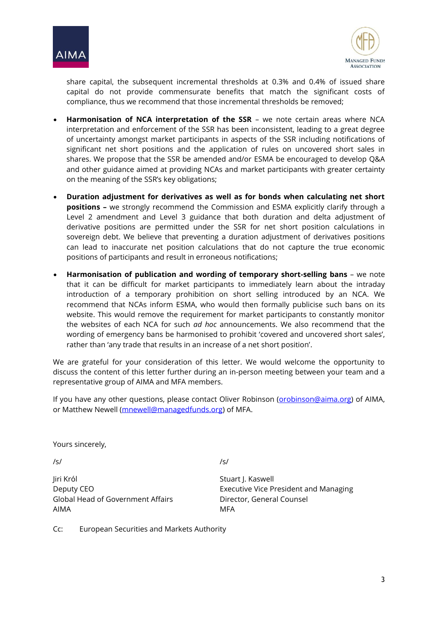



share capital, the subsequent incremental thresholds at 0.3% and 0.4% of issued share capital do not provide commensurate benefits that match the significant costs of compliance, thus we recommend that those incremental thresholds be removed;

- **Harmonisation of NCA interpretation of the SSR** we note certain areas where NCA interpretation and enforcement of the SSR has been inconsistent, leading to a great degree of uncertainty amongst market participants in aspects of the SSR including notifications of significant net short positions and the application of rules on uncovered short sales in shares. We propose that the SSR be amended and/or ESMA be encouraged to develop Q&A and other guidance aimed at providing NCAs and market participants with greater certainty on the meaning of the SSR's key obligations;
- **Duration adjustment for derivatives as well as for bonds when calculating net short positions –** we strongly recommend the Commission and ESMA explicitly clarify through a Level 2 amendment and Level 3 guidance that both duration and delta adjustment of derivative positions are permitted under the SSR for net short position calculations in sovereign debt. We believe that preventing a duration adjustment of derivatives positions can lead to inaccurate net position calculations that do not capture the true economic positions of participants and result in erroneous notifications;
- **Harmonisation of publication and wording of temporary short-selling bans**  we note that it can be difficult for market participants to immediately learn about the intraday introduction of a temporary prohibition on short selling introduced by an NCA. We recommend that NCAs inform ESMA, who would then formally publicise such bans on its website. This would remove the requirement for market participants to constantly monitor the websites of each NCA for such *ad hoc* announcements. We also recommend that the wording of emergency bans be harmonised to prohibit 'covered and uncovered short sales', rather than 'any trade that results in an increase of a net short position'.

We are grateful for your consideration of this letter. We would welcome the opportunity to discuss the content of this letter further during an in-person meeting between your team and a representative group of AIMA and MFA members.

If you have any other questions, please contact Oliver Robinson [\(orobinson@aima.org\)](mailto:orobinson@aima.org) of AIMA, or Matthew Newell [\(mnewell@managedfunds.org\)](mailto:mnewell@managedfunds.org) of MFA.

Yours sincerely,

/s/ /s/

Jiri Król **Stuart J. Kaswell** Global Head of Government Affairs **Director**, General Counsel AIMA MFA

Deputy CEO **Executive Vice President and Managing** 

Cc: European Securities and Markets Authority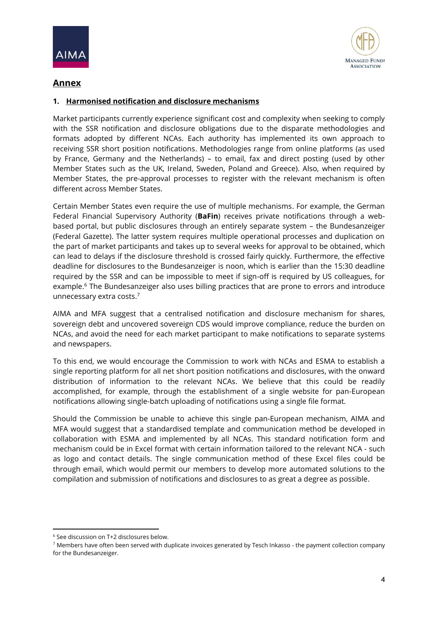



# **Annex**

# **1. Harmonised notification and disclosure mechanisms**

Market participants currently experience significant cost and complexity when seeking to comply with the SSR notification and disclosure obligations due to the disparate methodologies and formats adopted by different NCAs. Each authority has implemented its own approach to receiving SSR short position notifications. Methodologies range from online platforms (as used by France, Germany and the Netherlands) – to email, fax and direct posting (used by other Member States such as the UK, Ireland, Sweden, Poland and Greece). Also, when required by Member States, the pre-approval processes to register with the relevant mechanism is often different across Member States.

Certain Member States even require the use of multiple mechanisms. For example, the German Federal Financial Supervisory Authority (**BaFin**) receives private notifications through a webbased portal, but public disclosures through an entirely separate system – the Bundesanzeiger (Federal Gazette). The latter system requires multiple operational processes and duplication on the part of market participants and takes up to several weeks for approval to be obtained, which can lead to delays if the disclosure threshold is crossed fairly quickly. Furthermore, the effective deadline for disclosures to the Bundesanzeiger is noon, which is earlier than the 15:30 deadline required by the SSR and can be impossible to meet if sign-off is required by US colleagues, for example.<sup>6</sup> The Bundesanzeiger also uses billing practices that are prone to errors and introduce unnecessary extra costs. 7

AIMA and MFA suggest that a centralised notification and disclosure mechanism for shares, sovereign debt and uncovered sovereign CDS would improve compliance, reduce the burden on NCAs, and avoid the need for each market participant to make notifications to separate systems and newspapers.

To this end, we would encourage the Commission to work with NCAs and ESMA to establish a single reporting platform for all net short position notifications and disclosures, with the onward distribution of information to the relevant NCAs. We believe that this could be readily accomplished, for example, through the establishment of a single website for pan-European notifications allowing single-batch uploading of notifications using a single file format.

Should the Commission be unable to achieve this single pan-European mechanism, AIMA and MFA would suggest that a standardised template and communication method be developed in collaboration with ESMA and implemented by all NCAs. This standard notification form and mechanism could be in Excel format with certain information tailored to the relevant NCA - such as logo and contact details. The single communication method of these Excel files could be through email, which would permit our members to develop more automated solutions to the compilation and submission of notifications and disclosures to as great a degree as possible.

 $\overline{a}$ 

<sup>6</sup> See discussion on T+2 disclosures below.

<sup>&</sup>lt;sup>7</sup> Members have often been served with duplicate invoices generated by Tesch Inkasso - the payment collection company for the Bundesanzeiger.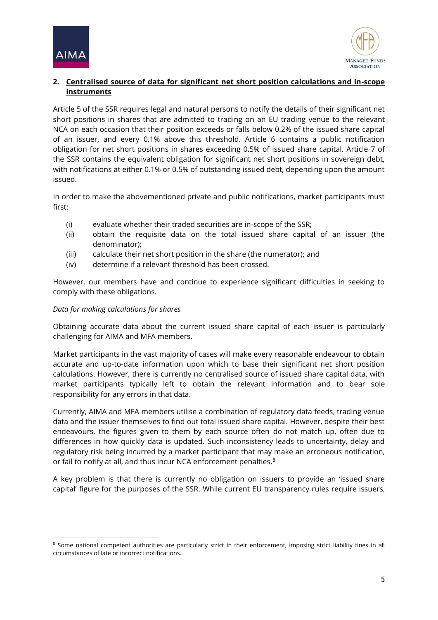



# **2. Centralised source of data for significant net short position calculations and in-scope instruments**

Article 5 of the SSR requires legal and natural persons to notify the details of their significant net short positions in shares that are admitted to trading on an EU trading venue to the relevant NCA on each occasion that their position exceeds or falls below 0.2% of the issued share capital of an issuer, and every 0.1% above this threshold. Article 6 contains a public notification obligation for net short positions in shares exceeding 0.5% of issued share capital. Article 7 of the SSR contains the equivalent obligation for significant net short positions in sovereign debt, with notifications at either 0.1% or 0.5% of outstanding issued debt, depending upon the amount issued.

In order to make the abovementioned private and public notifications, market participants must first:

- (i) evaluate whether their traded securities are in-scope of the SSR;
- (ii) obtain the requisite data on the total issued share capital of an issuer (the denominator);
- (iii) calculate their net short position in the share (the numerator); and
- (iv) determine if a relevant threshold has been crossed.

However, our members have and continue to experience significant difficulties in seeking to comply with these obligations.

#### *Data for making calculations for shares*

1

Obtaining accurate data about the current issued share capital of each issuer is particularly challenging for AIMA and MFA members.

Market participants in the vast majority of cases will make every reasonable endeavour to obtain accurate and up-to-date information upon which to base their significant net short position calculations. However, there is currently no centralised source of issued share capital data, with market participants typically left to obtain the relevant information and to bear sole responsibility for any errors in that data.

Currently, AIMA and MFA members utilise a combination of regulatory data feeds, trading venue data and the issuer themselves to find out total issued share capital. However, despite their best endeavours, the figures given to them by each source often do not match up, often due to differences in how quickly data is updated. Such inconsistency leads to uncertainty, delay and regulatory risk being incurred by a market participant that may make an erroneous notification, or fail to notify at all, and thus incur NCA enforcement penalties.<sup>8</sup>

A key problem is that there is currently no obligation on issuers to provide an 'issued share capital' figure for the purposes of the SSR. While current EU transparency rules require issuers,

<sup>&</sup>lt;sup>8</sup> Some national competent authorities are particularly strict in their enforcement, imposing strict liability fines in all circumstances of late or incorrect notifications.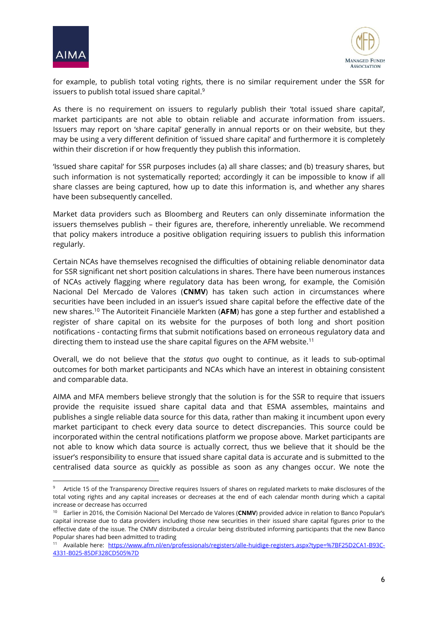

**.** 



for example, to publish total voting rights, there is no similar requirement under the SSR for issuers to publish total issued share capital. 9

As there is no requirement on issuers to regularly publish their 'total issued share capital', market participants are not able to obtain reliable and accurate information from issuers. Issuers may report on 'share capital' generally in annual reports or on their website, but they may be using a very different definition of 'issued share capital' and furthermore it is completely within their discretion if or how frequently they publish this information.

'Issued share capital' for SSR purposes includes (a) all share classes; and (b) treasury shares, but such information is not systematically reported; accordingly it can be impossible to know if all share classes are being captured, how up to date this information is, and whether any shares have been subsequently cancelled.

Market data providers such as Bloomberg and Reuters can only disseminate information the issuers themselves publish – their figures are, therefore, inherently unreliable. We recommend that policy makers introduce a positive obligation requiring issuers to publish this information regularly.

Certain NCAs have themselves recognised the difficulties of obtaining reliable denominator data for SSR significant net short position calculations in shares. There have been numerous instances of NCAs actively flagging where regulatory data has been wrong, for example, the Comisión Nacional Del Mercado de Valores (**CNMV**) has taken such action in circumstances where securities have been included in an issuer's issued share capital before the effective date of the new shares.<sup>10</sup> The Autoriteit Financiële Markten (**AFM**) has gone a step further and established a register of share capital on its website for the purposes of both long and short position notifications - contacting firms that submit notifications based on erroneous regulatory data and directing them to instead use the share capital figures on the AFM website.<sup>11</sup>

Overall, we do not believe that the *status quo* ought to continue, as it leads to sub-optimal outcomes for both market participants and NCAs which have an interest in obtaining consistent and comparable data.

AIMA and MFA members believe strongly that the solution is for the SSR to require that issuers provide the requisite issued share capital data and that ESMA assembles, maintains and publishes a single reliable data source for this data, rather than making it incumbent upon every market participant to check every data source to detect discrepancies. This source could be incorporated within the central notifications platform we propose above. Market participants are not able to know which data source is actually correct, thus we believe that it should be the issuer's responsibility to ensure that issued share capital data is accurate and is submitted to the centralised data source as quickly as possible as soon as any changes occur. We note the

<sup>&</sup>lt;sup>9</sup> Article 15 of the Transparency Directive requires Issuers of shares on regulated markets to make disclosures of the total voting rights and any capital increases or decreases at the end of each calendar month during which a capital increase or decrease has occurred

<sup>10</sup> Earlier in 2016, the Comisión Nacional Del Mercado de Valores (**CNMV**) provided advice in relation to Banco Popular's capital increase due to data providers including those new securities in their issued share capital figures prior to the effective date of the issue. The CNMV distributed a circular being distributed informing participants that the new Banco Popular shares had been admitted to trading

<sup>11</sup> Available here: [https://www.afm.nl/en/professionals/registers/alle-huidige-registers.aspx?type=%7BF25D2CA1-B93C-](https://www.afm.nl/en/professionals/registers/alle-huidige-registers.aspx?type=%7BF25D2CA1-B93C-4331-B025-85DF328CD505%7D)[4331-B025-85DF328CD505%7D](https://www.afm.nl/en/professionals/registers/alle-huidige-registers.aspx?type=%7BF25D2CA1-B93C-4331-B025-85DF328CD505%7D)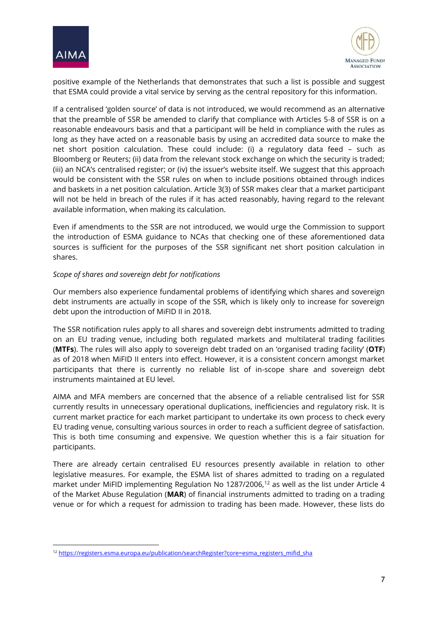

1



positive example of the Netherlands that demonstrates that such a list is possible and suggest that ESMA could provide a vital service by serving as the central repository for this information.

If a centralised 'golden source' of data is not introduced, we would recommend as an alternative that the preamble of SSR be amended to clarify that compliance with Articles 5-8 of SSR is on a reasonable endeavours basis and that a participant will be held in compliance with the rules as long as they have acted on a reasonable basis by using an accredited data source to make the net short position calculation. These could include: (i) a regulatory data feed – such as Bloomberg or Reuters; (ii) data from the relevant stock exchange on which the security is traded; (iii) an NCA's centralised register; or (iv) the issuer's website itself. We suggest that this approach would be consistent with the SSR rules on when to include positions obtained through indices and baskets in a net position calculation. Article 3(3) of SSR makes clear that a market participant will not be held in breach of the rules if it has acted reasonably, having regard to the relevant available information, when making its calculation.

Even if amendments to the SSR are not introduced, we would urge the Commission to support the introduction of ESMA guidance to NCAs that checking one of these aforementioned data sources is sufficient for the purposes of the SSR significant net short position calculation in shares.

#### *Scope of shares and sovereign debt for notifications*

Our members also experience fundamental problems of identifying which shares and sovereign debt instruments are actually in scope of the SSR, which is likely only to increase for sovereign debt upon the introduction of MiFID II in 2018.

The SSR notification rules apply to all shares and sovereign debt instruments admitted to trading on an EU trading venue, including both regulated markets and multilateral trading facilities (**MTFs**). The rules will also apply to sovereign debt traded on an 'organised trading facility' (**OTF**) as of 2018 when MiFID II enters into effect. However, it is a consistent concern amongst market participants that there is currently no reliable list of in-scope share and sovereign debt instruments maintained at EU level.

AIMA and MFA members are concerned that the absence of a reliable centralised list for SSR currently results in unnecessary operational duplications, inefficiencies and regulatory risk. It is current market practice for each market participant to undertake its own process to check every EU trading venue, consulting various sources in order to reach a sufficient degree of satisfaction. This is both time consuming and expensive. We question whether this is a fair situation for participants.

There are already certain centralised EU resources presently available in relation to other legislative measures. For example, the ESMA list of shares admitted to trading on a regulated market under MiFID implementing Regulation No 1287/2006,<sup>12</sup> as well as the list under Article 4 of the Market Abuse Regulation (**MAR**) of financial instruments admitted to trading on a trading venue or for which a request for admission to trading has been made. However, these lists do

<sup>&</sup>lt;sup>12</sup> [https://registers.esma.europa.eu/publication/searchRegister?core=esma\\_registers\\_mifid\\_sha](https://registers.esma.europa.eu/publication/searchRegister?core=esma_registers_mifid_sha)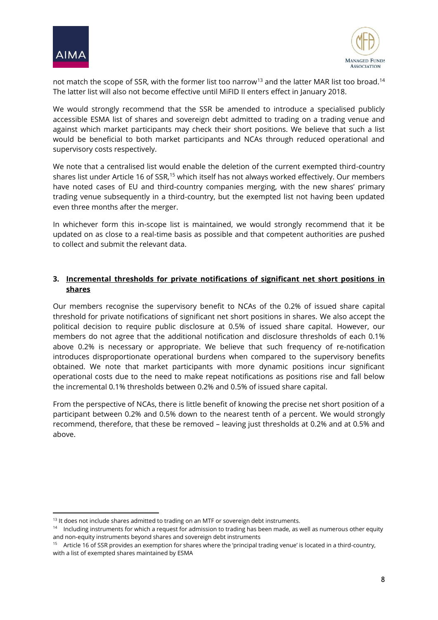

1



not match the scope of SSR, with the former list too narrow<sup>13</sup> and the latter MAR list too broad.<sup>14</sup> The latter list will also not become effective until MiFID II enters effect in January 2018.

We would strongly recommend that the SSR be amended to introduce a specialised publicly accessible ESMA list of shares and sovereign debt admitted to trading on a trading venue and against which market participants may check their short positions. We believe that such a list would be beneficial to both market participants and NCAs through reduced operational and supervisory costs respectively.

We note that a centralised list would enable the deletion of the current exempted third-country shares list under Article 16 of SSR,<sup>15</sup> which itself has not always worked effectively. Our members have noted cases of EU and third-country companies merging, with the new shares' primary trading venue subsequently in a third-country, but the exempted list not having been updated even three months after the merger.

In whichever form this in-scope list is maintained, we would strongly recommend that it be updated on as close to a real-time basis as possible and that competent authorities are pushed to collect and submit the relevant data.

# **3. Incremental thresholds for private notifications of significant net short positions in shares**

Our members recognise the supervisory benefit to NCAs of the 0.2% of issued share capital threshold for private notifications of significant net short positions in shares. We also accept the political decision to require public disclosure at 0.5% of issued share capital. However, our members do not agree that the additional notification and disclosure thresholds of each 0.1% above 0.2% is necessary or appropriate. We believe that such frequency of re-notification introduces disproportionate operational burdens when compared to the supervisory benefits obtained. We note that market participants with more dynamic positions incur significant operational costs due to the need to make repeat notifications as positions rise and fall below the incremental 0.1% thresholds between 0.2% and 0.5% of issued share capital.

From the perspective of NCAs, there is little benefit of knowing the precise net short position of a participant between 0.2% and 0.5% down to the nearest tenth of a percent. We would strongly recommend, therefore, that these be removed – leaving just thresholds at 0.2% and at 0.5% and above.

<sup>&</sup>lt;sup>13</sup> It does not include shares admitted to trading on an MTF or sovereign debt instruments.

<sup>&</sup>lt;sup>14</sup> Including instruments for which a request for admission to trading has been made, as well as numerous other equity and non-equity instruments beyond shares and sovereign debt instruments

<sup>&</sup>lt;sup>15</sup> Article 16 of SSR provides an exemption for shares where the 'principal trading venue' is located in a third-country, with a list of exempted shares maintained by ESMA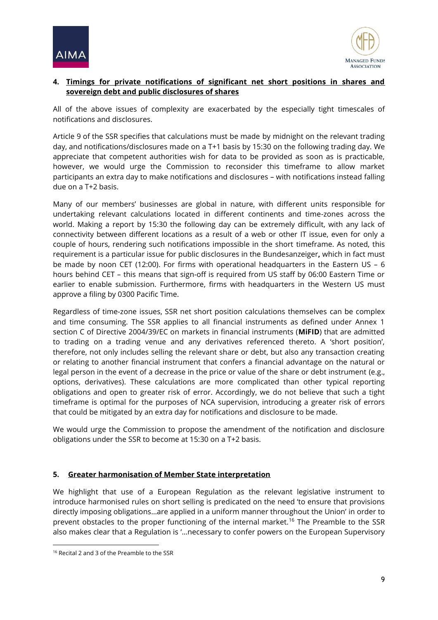



# **4. Timings for private notifications of significant net short positions in shares and sovereign debt and public disclosures of shares**

All of the above issues of complexity are exacerbated by the especially tight timescales of notifications and disclosures.

Article 9 of the SSR specifies that calculations must be made by midnight on the relevant trading day, and notifications/disclosures made on a T+1 basis by 15:30 on the following trading day. We appreciate that competent authorities wish for data to be provided as soon as is practicable, however, we would urge the Commission to reconsider this timeframe to allow market participants an extra day to make notifications and disclosures – with notifications instead falling due on a T+2 basis.

Many of our members' businesses are global in nature, with different units responsible for undertaking relevant calculations located in different continents and time-zones across the world. Making a report by 15:30 the following day can be extremely difficult, with any lack of connectivity between different locations as a result of a web or other IT issue, even for only a couple of hours, rendering such notifications impossible in the short timeframe. As noted, this requirement is a particular issue for public disclosures in the Bundesanzeiger**,** which in fact must be made by noon CET (12:00). For firms with operational headquarters in the Eastern US – 6 hours behind CET – this means that sign-off is required from US staff by 06:00 Eastern Time or earlier to enable submission. Furthermore, firms with headquarters in the Western US must approve a filing by 0300 Pacific Time.

Regardless of time-zone issues, SSR net short position calculations themselves can be complex and time consuming. The SSR applies to all financial instruments as defined under Annex 1 section C of Directive 2004/39/EC on markets in financial instruments (**MiFID**) that are admitted to trading on a trading venue and any derivatives referenced thereto. A 'short position', therefore, not only includes selling the relevant share or debt, but also any transaction creating or relating to another financial instrument that confers a financial advantage on the natural or legal person in the event of a decrease in the price or value of the share or debt instrument (e.g., options, derivatives). These calculations are more complicated than other typical reporting obligations and open to greater risk of error. Accordingly, we do not believe that such a tight timeframe is optimal for the purposes of NCA supervision, introducing a greater risk of errors that could be mitigated by an extra day for notifications and disclosure to be made.

We would urge the Commission to propose the amendment of the notification and disclosure obligations under the SSR to become at 15:30 on a T+2 basis.

### **5. Greater harmonisation of Member State interpretation**

We highlight that use of a European Regulation as the relevant legislative instrument to introduce harmonised rules on short selling is predicated on the need 'to ensure that provisions directly imposing obligations…are applied in a uniform manner throughout the Union' in order to prevent obstacles to the proper functioning of the internal market.<sup>16</sup> The Preamble to the SSR also makes clear that a Regulation is '…necessary to confer powers on the European Supervisory

1

<sup>16</sup> Recital 2 and 3 of the Preamble to the SSR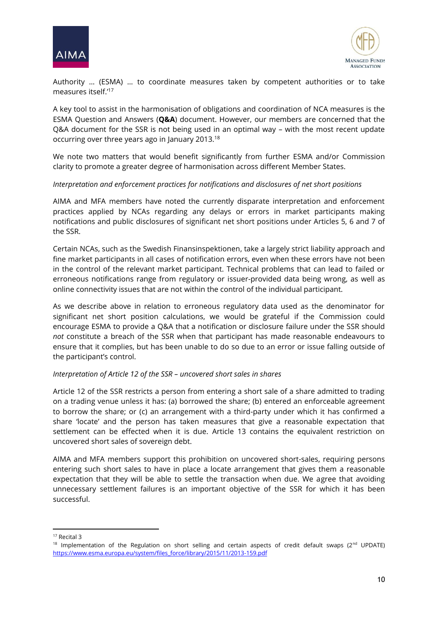



Authority … (ESMA) … to coordinate measures taken by competent authorities or to take measures itself.'<sup>17</sup>

A key tool to assist in the harmonisation of obligations and coordination of NCA measures is the ESMA Question and Answers (**Q&A**) document. However, our members are concerned that the Q&A document for the SSR is not being used in an optimal way – with the most recent update occurring over three years ago in January 2013. 18

We note two matters that would benefit significantly from further ESMA and/or Commission clarity to promote a greater degree of harmonisation across different Member States.

### *Interpretation and enforcement practices for notifications and disclosures of net short positions*

AIMA and MFA members have noted the currently disparate interpretation and enforcement practices applied by NCAs regarding any delays or errors in market participants making notifications and public disclosures of significant net short positions under Articles 5, 6 and 7 of the SSR.

Certain NCAs, such as the Swedish Finansinspektionen, take a largely strict liability approach and fine market participants in all cases of notification errors, even when these errors have not been in the control of the relevant market participant. Technical problems that can lead to failed or erroneous notifications range from regulatory or issuer-provided data being wrong, as well as online connectivity issues that are not within the control of the individual participant.

As we describe above in relation to erroneous regulatory data used as the denominator for significant net short position calculations, we would be grateful if the Commission could encourage ESMA to provide a Q&A that a notification or disclosure failure under the SSR should *not* constitute a breach of the SSR when that participant has made reasonable endeavours to ensure that it complies, but has been unable to do so due to an error or issue falling outside of the participant's control.

#### *Interpretation of Article 12 of the SSR – uncovered short sales in shares*

Article 12 of the SSR restricts a person from entering a short sale of a share admitted to trading on a trading venue unless it has: (a) borrowed the share; (b) entered an enforceable agreement to borrow the share; or (c) an arrangement with a third-party under which it has confirmed a share 'locate' and the person has taken measures that give a reasonable expectation that settlement can be effected when it is due. Article 13 contains the equivalent restriction on uncovered short sales of sovereign debt.

AIMA and MFA members support this prohibition on uncovered short-sales, requiring persons entering such short sales to have in place a locate arrangement that gives them a reasonable expectation that they will be able to settle the transaction when due. We agree that avoiding unnecessary settlement failures is an important objective of the SSR for which it has been successful.

 $\overline{a}$ 

<sup>17</sup> Recital 3

<sup>&</sup>lt;sup>18</sup> Implementation of the Regulation on short selling and certain aspects of credit default swaps (2<sup>nd</sup> UPDATE) [https://www.esma.europa.eu/system/files\\_force/library/2015/11/2013-159.pdf](https://www.esma.europa.eu/system/files_force/library/2015/11/2013-159.pdf)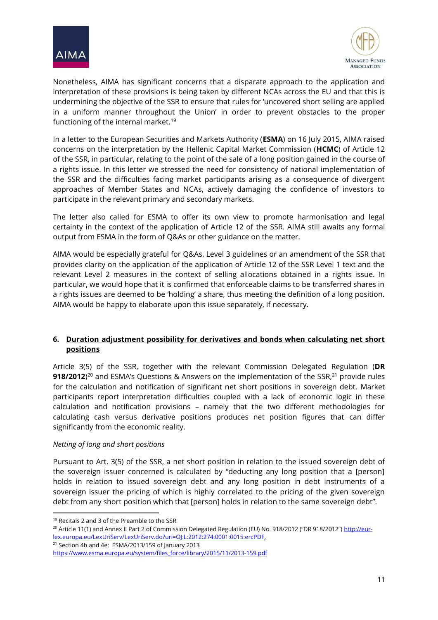



Nonetheless, AIMA has significant concerns that a disparate approach to the application and interpretation of these provisions is being taken by different NCAs across the EU and that this is undermining the objective of the SSR to ensure that rules for 'uncovered short selling are applied in a uniform manner throughout the Union' in order to prevent obstacles to the proper functioning of the internal market.<sup>19</sup>

In a letter to the European Securities and Markets Authority (**ESMA**) on 16 July 2015, AIMA raised concerns on the interpretation by the Hellenic Capital Market Commission (**HCMC**) of Article 12 of the SSR, in particular, relating to the point of the sale of a long position gained in the course of a rights issue. In this letter we stressed the need for consistency of national implementation of the SSR and the difficulties facing market participants arising as a consequence of divergent approaches of Member States and NCAs, actively damaging the confidence of investors to participate in the relevant primary and secondary markets.

The letter also called for ESMA to offer its own view to promote harmonisation and legal certainty in the context of the application of Article 12 of the SSR. AIMA still awaits any formal output from ESMA in the form of Q&As or other guidance on the matter.

AIMA would be especially grateful for Q&As, Level 3 guidelines or an amendment of the SSR that provides clarity on the application of the application of Article 12 of the SSR Level 1 text and the relevant Level 2 measures in the context of selling allocations obtained in a rights issue. In particular, we would hope that it is confirmed that enforceable claims to be transferred shares in a rights issues are deemed to be 'holding' a share, thus meeting the definition of a long position. AIMA would be happy to elaborate upon this issue separately, if necessary.

# **6. Duration adjustment possibility for derivatives and bonds when calculating net short positions**

Article 3(5) of the SSR, together with the relevant Commission Delegated Regulation (**DR 918/2012**<sup>20</sup> and ESMA's Questions & Answers on the implementation of the SSR,<sup>21</sup> provide rules for the calculation and notification of significant net short positions in sovereign debt. Market participants report interpretation difficulties coupled with a lack of economic logic in these calculation and notification provisions – namely that the two different methodologies for calculating cash versus derivative positions produces net position figures that can differ significantly from the economic reality.

#### *Netting of long and short positions*

Pursuant to Art. 3(5) of the SSR, a net short position in relation to the issued sovereign debt of the sovereign issuer concerned is calculated by "deducting any long position that a [person] holds in relation to issued sovereign debt and any long position in debt instruments of a sovereign issuer the pricing of which is highly correlated to the pricing of the given sovereign debt from any short position which that [person] holds in relation to the same sovereign debt".

1

<sup>&</sup>lt;sup>19</sup> Recitals 2 and 3 of the Preamble to the SSR

<sup>&</sup>lt;sup>20</sup> Article 11(1) and Annex II Part 2 of Commission Delegated Regulation (EU) No. 918/2012 ("DR 918/2012") [http://eur](http://eur-lex.europa.eu/LexUriServ/LexUriServ.do?uri=OJ:L:2012:274:0001:0015:en:PDF)[lex.europa.eu/LexUriServ/LexUriServ.do?uri=OJ:L:2012:274:0001:0015:en:PDF,](http://eur-lex.europa.eu/LexUriServ/LexUriServ.do?uri=OJ:L:2012:274:0001:0015:en:PDF) 

 $21$  Section 4b and 4e; ESMA/2013/159 of January 2013

[https://www.esma.europa.eu/system/files\\_force/library/2015/11/2013-159.pdf](https://www.esma.europa.eu/system/files_force/library/2015/11/2013-159.pdf)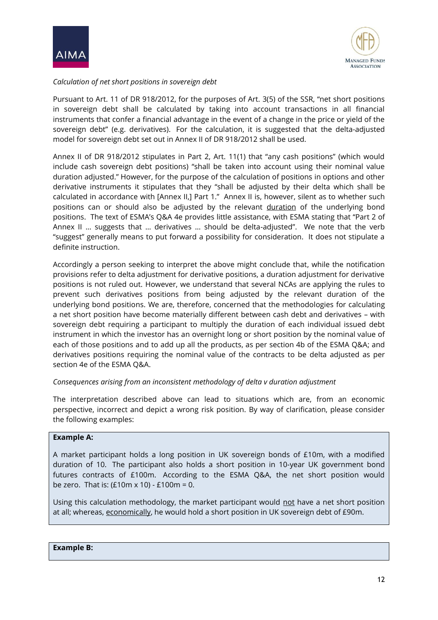



### *Calculation of net short positions in sovereign debt*

Pursuant to Art. 11 of DR 918/2012, for the purposes of Art. 3(5) of the SSR, "net short positions in sovereign debt shall be calculated by taking into account transactions in all financial instruments that confer a financial advantage in the event of a change in the price or yield of the sovereign debt" (e.g. derivatives). For the calculation, it is suggested that the delta-adjusted model for sovereign debt set out in Annex II of DR 918/2012 shall be used.

Annex II of DR 918/2012 stipulates in Part 2, Art. 11(1) that "any cash positions" (which would include cash sovereign debt positions) "shall be taken into account using their nominal value duration adjusted." However, for the purpose of the calculation of positions in options and other derivative instruments it stipulates that they "shall be adjusted by their delta which shall be calculated in accordance with [Annex II,] Part 1." Annex II is, however, silent as to whether such positions can or should also be adjusted by the relevant duration of the underlying bond positions. The text of ESMA's Q&A 4e provides little assistance, with ESMA stating that "Part 2 of Annex II … suggests that … derivatives … should be delta-adjusted". We note that the verb "suggest" generally means to put forward a possibility for consideration. It does not stipulate a definite instruction.

Accordingly a person seeking to interpret the above might conclude that, while the notification provisions refer to delta adjustment for derivative positions, a duration adjustment for derivative positions is not ruled out. However, we understand that several NCAs are applying the rules to prevent such derivatives positions from being adjusted by the relevant duration of the underlying bond positions. We are, therefore, concerned that the methodologies for calculating a net short position have become materially different between cash debt and derivatives – with sovereign debt requiring a participant to multiply the duration of each individual issued debt instrument in which the investor has an overnight long or short position by the nominal value of each of those positions and to add up all the products, as per section 4b of the ESMA Q&A; and derivatives positions requiring the nominal value of the contracts to be delta adjusted as per section 4e of the ESMA Q&A.

### *Consequences arising from an inconsistent methodology of delta v duration adjustment*

The interpretation described above can lead to situations which are, from an economic perspective, incorrect and depict a wrong risk position. By way of clarification, please consider the following examples:

#### **Example A:**

A market participant holds a long position in UK sovereign bonds of £10m, with a modified duration of 10. The participant also holds a short position in 10-year UK government bond futures contracts of £100m. According to the ESMA Q&A, the net short position would be zero. That is:  $(£10m \times 10) - £100m = 0.$ 

Using this calculation methodology, the market participant would not have a net short position at all; whereas, economically, he would hold a short position in UK sovereign debt of £90m.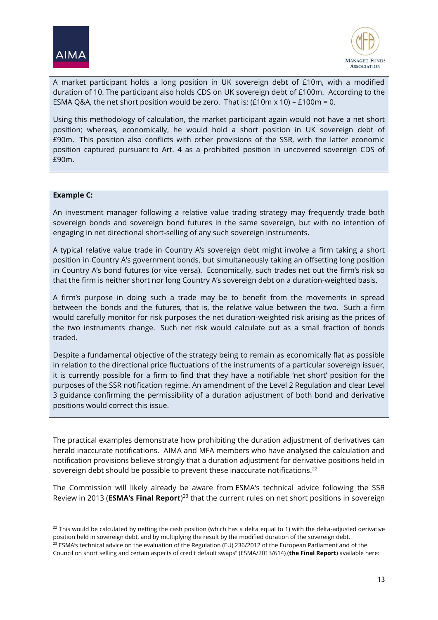



A market participant holds a long position in UK sovereign debt of £10m, with a modified duration of 10. The participant also holds CDS on UK sovereign debt of £100m. According to the ESMA Q&A, the net short position would be zero. That is:  $(E10m \times 10)$  – £100m = 0.

Using this methodology of calculation, the market participant again would not have a net short position; whereas, economically, he would hold a short position in UK sovereign debt of £90m. This position also conflicts with other provisions of the SSR, with the latter economic position captured pursuant to Art. 4 as a prohibited position in uncovered sovereign CDS of £90m.

#### **Example C:**

1

An investment manager following a relative value trading strategy may frequently trade both sovereign bonds and sovereign bond futures in the same sovereign, but with no intention of engaging in net directional short-selling of any such sovereign instruments.

A typical relative value trade in Country A's sovereign debt might involve a firm taking a short position in Country A's government bonds, but simultaneously taking an offsetting long position in Country A's bond futures (or vice versa). Economically, such trades net out the firm's risk so that the firm is neither short nor long Country A's sovereign debt on a duration-weighted basis.

A firm's purpose in doing such a trade may be to benefit from the movements in spread between the bonds and the futures, that is, the relative value between the two. Such a firm would carefully monitor for risk purposes the net duration-weighted risk arising as the prices of the two instruments change. Such net risk would calculate out as a small fraction of bonds traded.

Despite a fundamental objective of the strategy being to remain as economically flat as possible in relation to the directional price fluctuations of the instruments of a particular sovereign issuer, it is currently possible for a firm to find that they have a notifiable 'net short' position for the purposes of the SSR notification regime. An amendment of the Level 2 Regulation and clear Level 3 guidance confirming the permissibility of a duration adjustment of both bond and derivative positions would correct this issue.

The practical examples demonstrate how prohibiting the duration adjustment of derivatives can herald inaccurate notifications. AIMA and MFA members who have analysed the calculation and notification provisions believe strongly that a duration adjustment for derivative positions held in sovereign debt should be possible to prevent these inaccurate notifications.<sup>22</sup>

The Commission will likely already be aware from ESMA's technical advice following the SSR Review in 2013 (**ESMA's Final Report**) <sup>23</sup> that the current rules on net short positions in sovereign

 $22$  This would be calculated by netting the cash position (which has a delta equal to 1) with the delta-adjusted derivative position held in sovereign debt, and by multiplying the result by the modified duration of the sovereign debt.

<sup>&</sup>lt;sup>23</sup> ESMA's technical advice on the evaluation of the Regulation (EU) 236/2012 of the European Parliament and of the Council on short selling and certain aspects of credit default swaps" (ESMA/2013/614) (**the Final Report**) available here: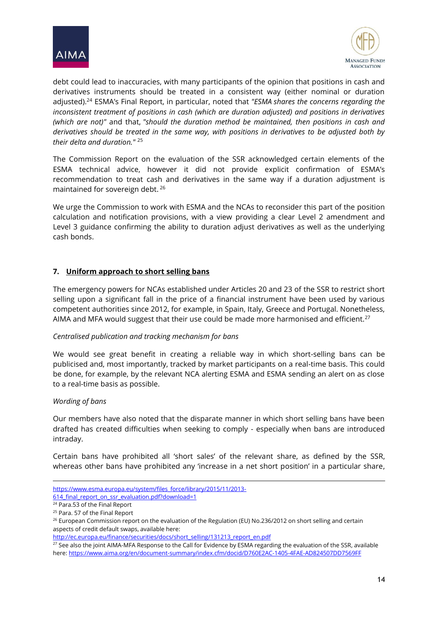



debt could lead to inaccuracies, with many participants of the opinion that positions in cash and derivatives instruments should be treated in a consistent way (either nominal or duration adjusted). <sup>24</sup> ESMA's Final Report, in particular, noted that *"ESMA shares the concerns regarding the inconsistent treatment of positions in cash (which are duration adjusted) and positions in derivatives (which are not)"* and that, *"should the duration method be maintained, then positions in cash and derivatives should be treated in the same way, with positions in derivatives to be adjusted both by their delta and duration."* <sup>25</sup>

The Commission Report on the evaluation of the SSR acknowledged certain elements of the ESMA technical advice, however it did not provide explicit confirmation of ESMA's recommendation to treat cash and derivatives in the same way if a duration adjustment is maintained for sovereign debt. 26

We urge the Commission to work with ESMA and the NCAs to reconsider this part of the position calculation and notification provisions, with a view providing a clear Level 2 amendment and Level 3 guidance confirming the ability to duration adjust derivatives as well as the underlying cash bonds.

### **7. Uniform approach to short selling bans**

The emergency powers for NCAs established under Articles 20 and 23 of the SSR to restrict short selling upon a significant fall in the price of a financial instrument have been used by various competent authorities since 2012, for example, in Spain, Italy, Greece and Portugal. Nonetheless, AIMA and MFA would suggest that their use could be made more harmonised and efficient.<sup>27</sup>

#### *Centralised publication and tracking mechanism for bans*

We would see great benefit in creating a reliable way in which short-selling bans can be publicised and, most importantly, tracked by market participants on a real-time basis. This could be done, for example, by the relevant NCA alerting ESMA and ESMA sending an alert on as close to a real-time basis as possible.

#### *Wording of bans*

**.** 

Our members have also noted that the disparate manner in which short selling bans have been drafted has created difficulties when seeking to comply - especially when bans are introduced intraday.

Certain bans have prohibited all 'short sales' of the relevant share, as defined by the SSR, whereas other bans have prohibited any 'increase in a net short position' in a particular share,

[https://www.esma.europa.eu/system/files\\_force/library/2015/11/2013-](https://www.esma.europa.eu/system/files_force/library/2015/11/2013-614_final_report_on_ssr_evaluation.pdf?download=1) 614 final report on ssr evaluation.pdf?download=1

<sup>24</sup> Para.53 of the Final Report

<sup>&</sup>lt;sup>25</sup> Para. 57 of the Final Report

<sup>&</sup>lt;sup>26</sup> European Commission report on the evaluation of the Regulation (EU) No.236/2012 on short selling and certain aspects of credit default swaps, available here:

[http://ec.europa.eu/finance/securities/docs/short\\_selling/131213\\_report\\_en.pdf](http://ec.europa.eu/finance/securities/docs/short_selling/131213_report_en.pdf)

<sup>&</sup>lt;sup>27</sup> See also the joint AIMA-MFA Response to the Call for Evidence by ESMA regarding the evaluation of the SSR, available here[: https://www.aima.org/en/document-summary/index.cfm/docid/D760E2AC-1405-4FAE-AD824507DD7569FF](https://www.aima.org/en/document-summary/index.cfm/docid/D760E2AC-1405-4FAE-AD824507DD7569FF)